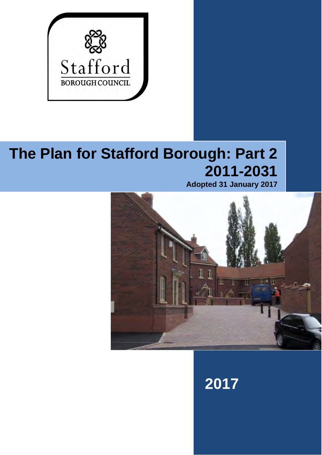

# **The Plan for Stafford Borough: Part 2 2011-2031**

**Adopted 31 January 2017**



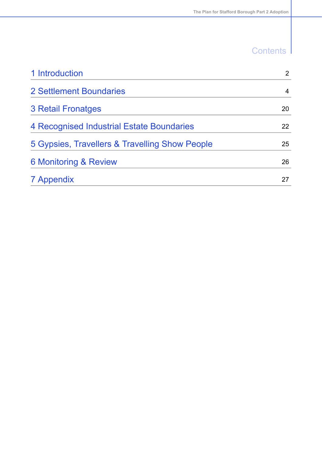# **Contents**

I

| 1 Introduction                                 | $\overline{2}$ |
|------------------------------------------------|----------------|
| 2 Settlement Boundaries                        | 4              |
| <b>3 Retail Fronatges</b>                      | 20             |
| 4 Recognised Industrial Estate Boundaries      | 22             |
| 5 Gypsies, Travellers & Travelling Show People | 25             |
| <b>6 Monitoring &amp; Review</b>               | 26             |
| 7 Appendix                                     | 27             |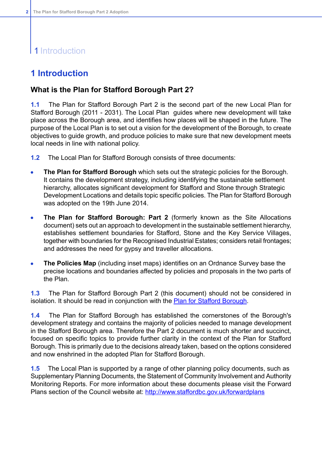# 1 Introduction

### <span id="page-2-0"></span>**1 Introduction**

### **What is the Plan for Stafford Borough Part 2?**

**1.1** The Plan for Stafford Borough Part 2 is the second part of the new Local Plan for Stafford Borough (2011 - 2031). The Local Plan guides where new development will take place across the Borough area, and identifies how places will be shaped in the future. The purpose of the Local Plan is to set out a vision for the development of the Borough, to create objectives to guide growth, and produce policies to make sure that new development meets local needs in line with national policy.

- **1.2** The Local Plan for Stafford Borough consists of three documents:
- **The Plan for Stafford Borough** which sets out the strategic policies for the Borough.  $\bullet$ It contains the development strategy, including identifying the sustainable settlement hierarchy, allocates significant development for Stafford and Stone through Strategic Development Locations and details topic specific policies. The Plan for Stafford Borough was adopted on the 19th June 2014.
- **The Plan for Stafford Borough: Part 2** (formerly known as the Site Allocations  $\bullet$ document) sets out an approach to development in the sustainable settlement hierarchy, establishes settlement boundaries for Stafford, Stone and the Key Service Villages, together with boundaries for the Recognised Industrial Estates; considers retail frontages; and addresses the need for gypsy and traveller allocations.
- **The Policies Map** (including inset maps) identifies on an Ordnance Survey base the  $\bullet$ precise locations and boundaries affected by policies and proposals in the two parts of the Plan.

**1.3** The Plan for Stafford Borough Part 2 (this document) should not be considered in isolation. It should be read in conjunction with the Plan for Stafford [Borough](http://www.staffordbc.gov.uk/theplanforstaffordborough).

**1.4** The Plan for Stafford Borough has established the cornerstones of the Borough's development strategy and contains the majority of policies needed to manage development in the Stafford Borough area. Therefore the Part 2 document is much shorter and succinct, focused on specific topics to provide further clarity in the context of the Plan for Stafford Borough. This is primarily due to the decisions already taken, based on the options considered and now enshrined in the adopted Plan for Stafford Borough.

**1.5** The Local Plan is supported by a range of other planning policy documents, such as Supplementary Planning Documents, the Statement of Community Involvement and Authority Monitoring Reports. For more information about these documents please visit the Forward Plans section of the Council website at: [http://www.staffordbc.gov.uk/forwardplans](http://)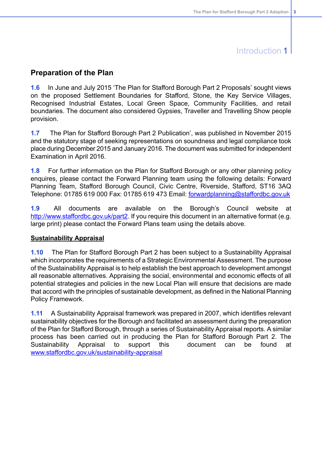### Introduction 1

### **Preparation of the Plan**

**1.6** In June and July 2015 'The Plan for Stafford Borough Part 2 Proposals' sought views on the proposed Settlement Boundaries for Stafford, Stone, the Key Service Villages, Recognised Industrial Estates, Local Green Space, Community Facilities, and retail boundaries. The document also considered Gypsies, Traveller and Travelling Show people provision.

**1.7** The Plan for Stafford Borough Part 2 Publication', was published in November 2015 and the statutory stage of seeking representations on soundness and legal compliance took place during December 2015 and January 2016. The document was submitted for independent Examination in April 2016.

**1.8** For further information on the Plan for Stafford Borough or any other planning policy enquires, please contact the Forward Planning team using the following details: Forward Planning Team, Stafford Borough Council, Civic Centre, Riverside, Stafford, ST16 3AQ Telephone: 01785 619 000 Fax: 01785 619 473 Email: [forwardplanning@staffordbc.gov.uk](mailto:forwardplanning@staffordbc.gov.uk)

**1.9** All documents are available on the Borough's Council website at [http://www.staffordbc.gov.uk/part2](http://www.staffordbc.gov.uk/forwardplans). If you require this document in an alternative format (e.g. large print) please contact the Forward Plans team using the details above.

#### **Sustainability Appraisal**

**1.10** The Plan for Stafford Borough Part 2 has been subject to a Sustainability Appraisal which incorporates the requirements of a Strategic Environmental Assessment. The purpose of the Sustainability Appraisal is to help establish the best approach to development amongst all reasonable alternatives. Appraising the social, environmental and economic effects of all potential strategies and policies in the new Local Plan will ensure that decisions are made that accord with the principles of sustainable development, as defined in the National Planning Policy Framework.

**1.11** A Sustainability Appraisal framework was prepared in 2007, which identifies relevant sustainability objectives for the Borough and facilitated an assessment during the preparation of the Plan for Stafford Borough, through a series of Sustainability Appraisal reports. A similar process has been carried out in producing the Plan for Stafford Borough Part 2. The Sustainability Appraisal to support this document can be found at [www.staffordbc.gov.uk/sustainability-appraisal](http://www.staffordbc.gov.uk/sustainability-appraisal)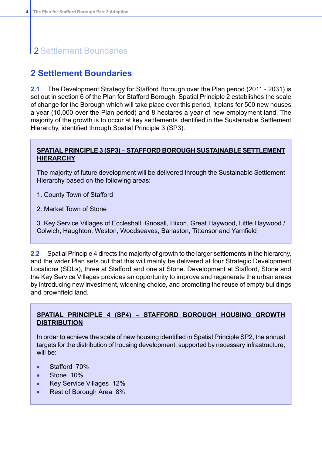### <span id="page-4-0"></span>**2 Settlement Boundaries**

**2.1** The Development Strategy for Stafford Borough over the Plan period (2011 - 2031) is set out in section 6 of the Plan for Stafford Borough. Spatial Principle 2 establishes the scale of change for the Borough which will take place over this period, it plans for 500 new houses a year (10,000 over the Plan period) and 8 hectares a year of new employment land. The majority of the growth is to occur at key settlements identified in the Sustainable Settlement Hierarchy, identified through Spatial Principle 3 (SP3).

### **SPATIAL PRINCIPLE 3 (SP3) – STAFFORD BOROUGH SUSTAINABLE SETTLEMENT HIERARCHY**

The majority of future development will be delivered through the Sustainable Settlement Hierarchy based on the following areas:

- 1. County Town of Stafford
- 2. Market Town of Stone

3. Key Service Villages of Eccleshall, Gnosall, Hixon, Great Haywood, Little Haywood / Colwich, Haughton, Weston, Woodseaves, Barlaston, Tittensor and Yarnfield

**2.2** Spatial Principle 4 directs the majority of growth to the larger settlements in the hierarchy, and the wider Plan sets out that this will mainly be delivered at four Strategic Development Locations (SDLs), three at Stafford and one at Stone. Development at Stafford, Stone and the Key Service Villages provides an opportunity to improve and regenerate the urban areas by introducing new investment, widening choice, and promoting the reuse of empty buildings and brownfield land.

### **SPATIAL PRINCIPLE 4 (SP4) – STAFFORD BOROUGH HOUSING GROWTH DISTRIBUTION**

In order to achieve the scale of new housing identified in Spatial Principle SP2, the annual targets for the distribution of housing development, supported by necessary infrastructure, will be:

- Stafford 70%
- Stone 10% ×
- Key Service Villages 12%  $\bullet$
- Rest of Borough Area 8%  $\bullet$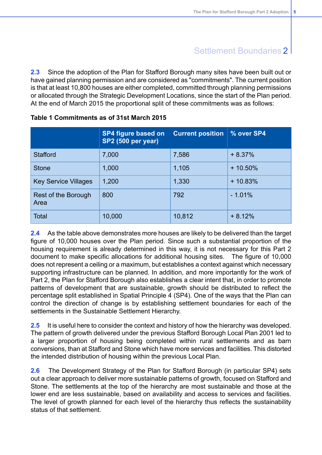**2.3** Since the adoption of the Plan for Stafford Borough many sites have been built out or have gained planning permission and are considered as "commitments". The current position is that at least 10,800 houses are either completed, committed through planning permissions or allocated through the Strategic Development Locations, since the start of the Plan period. At the end of March 2015 the proportional split of these commitments was as follows:

|                             | <b>SP4 figure based on</b><br><b>SP2 (500 per year)</b> | <b>Current position</b> | % over SP4 |
|-----------------------------|---------------------------------------------------------|-------------------------|------------|
| <b>Stafford</b>             | 7,000                                                   | 7,586                   | $+8.37%$   |
| <b>Stone</b>                | 1,000                                                   | 1,105                   | $+10.50\%$ |
| <b>Key Service Villages</b> | 1,200                                                   | 1,330                   | $+10.83%$  |
| Rest of the Borough<br>Area | 800                                                     | 792                     | $-1.01%$   |
| <b>Total</b>                | 10,000                                                  | 10,812                  | $+8.12%$   |

#### **Table 1 Commitments as of 31st March 2015**

**2.4** As the table above demonstrates more houses are likely to be delivered than the target figure of 10,000 houses over the Plan period. Since such a substantial proportion of the housing requirement is already determined in this way, it is not necessary for this Part 2 document to make specific allocations for additional housing sites. The figure of 10,000 does not represent a ceiling or a maximum, but establishes a context against which necessary supporting infrastructure can be planned. In addition, and more importantly for the work of Part 2, the Plan for Stafford Borough also establishes a clear intent that, in order to promote patterns of development that are sustainable, growth should be distributed to reflect the percentage split established in Spatial Principle 4 (SP4). One of the ways that the Plan can control the direction of change is by establishing settlement boundaries for each of the settlements in the Sustainable Settlement Hierarchy.

**2.5** It is useful here to consider the context and history of how the hierarchy was developed. The pattern of growth delivered under the previous Stafford Borough Local Plan 2001 led to a larger proportion of housing being completed within rural settlements and as barn conversions, than at Stafford and Stone which have more services and facilities. This distorted the intended distribution of housing within the previous Local Plan.

**2.6** The Development Strategy of the Plan for Stafford Borough (in particular SP4) sets out a clear approach to deliver more sustainable patterns of growth, focused on Stafford and Stone. The settlements at the top of the hierarchy are most sustainable and those at the lower end are less sustainable, based on availability and access to services and facilities. The level of growth planned for each level of the hierarchy thus reflects the sustainability status of that settlement.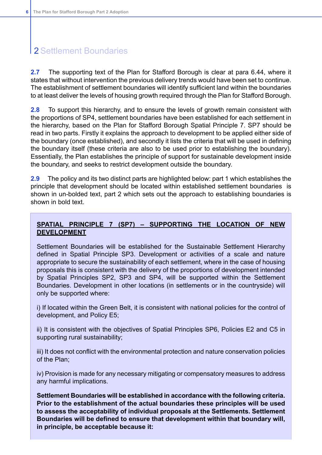**2.7** The supporting text of the Plan for Stafford Borough is clear at para 6.44, where it states that without intervention the previous delivery trends would have been set to continue. The establishment of settlement boundaries will identify sufficient land within the boundaries to at least deliver the levels of housing growth required through the Plan for Stafford Borough.

**2.8** To support this hierarchy, and to ensure the levels of growth remain consistent with the proportions of SP4, settlement boundaries have been established for each settlement in the hierarchy, based on the Plan for Stafford Borough Spatial Principle 7. SP7 should be read in two parts. Firstly it explains the approach to development to be applied either side of the boundary (once established), and secondly it lists the criteria that will be used in defining the boundary itself (these criteria are also to be used prior to establishing the boundary). Essentially, the Plan establishes the principle of support for sustainable development inside the boundary, and seeks to restrict development outside the boundary.

**2.9** The policy and its two distinct parts are highlighted below: part 1 which establishes the principle that development should be located within established settlement boundaries is shown in un-bolded text, part 2 which sets out the approach to establishing boundaries is shown in bold text.

### **SPATIAL PRINCIPLE 7 (SP7) – SUPPORTING THE LOCATION OF NEW DEVELOPMENT**

Settlement Boundaries will be established for the Sustainable Settlement Hierarchy defined in Spatial Principle SP3. Development or activities of a scale and nature appropriate to secure the sustainability of each settlement, where in the case of housing proposals this is consistent with the delivery of the proportions of development intended by Spatial Principles SP2, SP3 and SP4, will be supported within the Settlement Boundaries. Development in other locations (in settlements or in the countryside) will only be supported where:

i) If located within the Green Belt, it is consistent with national policies for the control of development, and Policy E5;

ii) It is consistent with the objectives of Spatial Principles SP6, Policies E2 and C5 in supporting rural sustainability;

iii) It does not conflict with the environmental protection and nature conservation policies of the Plan;

iv) Provision is made for any necessary mitigating or compensatory measures to address any harmful implications.

**Settlement Boundaries will be established in accordance with the following criteria. Prior to the establishment of the actual boundaries these principles will be used to assess the acceptability of individual proposals at the Settlements. Settlement Boundaries will be defined to ensure that development within that boundary will, in principle, be acceptable because it:**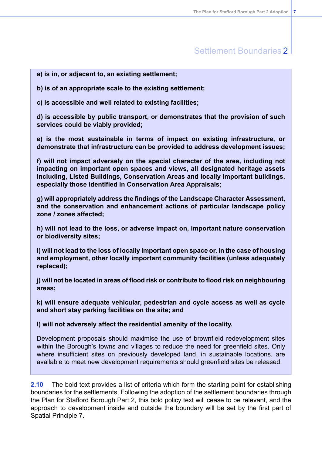**a) is in, or adjacent to, an existing settlement;**

**b) is of an appropriate scale to the existing settlement;**

**c) is accessible and well related to existing facilities;**

**d) is accessible by public transport, or demonstrates that the provision of such services could be viably provided;**

**e) is the most sustainable in terms of impact on existing infrastructure, or demonstrate that infrastructure can be provided to address development issues;**

**f) will not impact adversely on the special character of the area, including not impacting on important open spaces and views, all designated heritage assets including, Listed Buildings, Conservation Areas and locally important buildings, especially those identified in Conservation Area Appraisals;**

**g) will appropriately address the findings of the Landscape Character Assessment, and the conservation and enhancement actions of particular landscape policy zone / zones affected;**

**h) will not lead to the loss, or adverse impact on, important nature conservation or biodiversity sites;**

**i) will not lead to the loss of locally important open space or, in the case of housing and employment, other locally important community facilities (unless adequately replaced);**

**j) will not be located in areas of flood risk or contribute to flood risk on neighbouring areas;**

**k) will ensure adequate vehicular, pedestrian and cycle access as well as cycle and short stay parking facilities on the site; and**

**l) will not adversely affect the residential amenity of the locality.**

Development proposals should maximise the use of brownfield redevelopment sites within the Borough's towns and villages to reduce the need for greenfield sites. Only where insufficient sites on previously developed land, in sustainable locations, are available to meet new development requirements should greenfield sites be released.

**2.10** The bold text provides a list of criteria which form the starting point for establishing boundaries for the settlements. Following the adoption of the settlement boundaries through the Plan for Stafford Borough Part 2, this bold policy text will cease to be relevant, and the approach to development inside and outside the boundary will be set by the first part of Spatial Principle 7.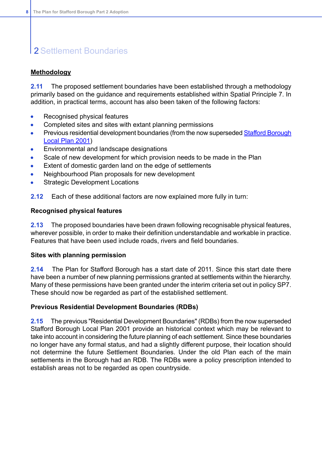### **Methodology**

**2.11** The proposed settlement boundaries have been established through a methodology primarily based on the guidance and requirements established within Spatial Principle 7. In addition, in practical terms, account has also been taken of the following factors:

- Recognised physical features  $\bullet$
- Completed sites and sites with extant planning permissions  $\bullet$
- Previous residential development boundaries (from the now superseded Stafford [Borough](http://www.staffordbc.gov.uk/stafford-borough-local-plan-20014)  $\bullet$ [Local](http://www.staffordbc.gov.uk/stafford-borough-local-plan-20014) Plan 2001)
- Environmental and landscape designations
- Scale of new development for which provision needs to be made in the Plan
- Extent of domestic garden land on the edge of settlements
- Neighbourhood Plan proposals for new development  $\bullet$
- Strategic Development Locations
- **2.12** Each of these additional factors are now explained more fully in turn:

#### **Recognised physical features**

**2.13** The proposed boundaries have been drawn following recognisable physical features, wherever possible, in order to make their definition understandable and workable in practice. Features that have been used include roads, rivers and field boundaries.

#### **Sites with planning permission**

**2.14** The Plan for Stafford Borough has a start date of 2011. Since this start date there have been a number of new planning permissions granted at settlements within the hierarchy. Many of these permissions have been granted under the interim criteria set out in policy SP7. These should now be regarded as part of the established settlement.

#### **Previous Residential Development Boundaries (RDBs)**

**2.15** The previous "Residential Development Boundaries" (RDBs) from the now superseded Stafford Borough Local Plan 2001 provide an historical context which may be relevant to take into account in considering the future planning of each settlement. Since these boundaries no longer have any formal status, and had a slightly different purpose, their location should not determine the future Settlement Boundaries. Under the old Plan each of the main settlements in the Borough had an RDB. The RDBs were a policy prescription intended to establish areas not to be regarded as open countryside.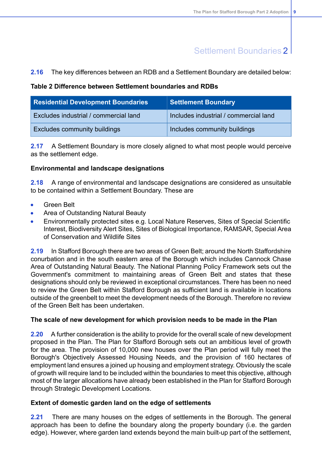### **2.16** The key differences between an RDB and a Settlement Boundary are detailed below:

#### **Table 2 Difference between Settlement boundaries and RDBs**

| <b>Residential Development Boundaries</b> | <b>Settlement Boundary</b>            |
|-------------------------------------------|---------------------------------------|
| Excludes industrial / commercial land     | Includes industrial / commercial land |
| <b>Excludes community buildings</b>       | Includes community buildings          |

**2.17** A Settlement Boundary is more closely aligned to what most people would perceive as the settlement edge.

#### **Environmental and landscape designations**

**2.18** A range of environmental and landscape designations are considered as unsuitable to be contained within a Settlement Boundary. These are

- Green Belt
- Area of Outstanding Natural Beauty  $\bullet$
- Environmentally protected sites e.g. Local Nature Reserves, Sites of Special Scientific Interest, Biodiversity Alert Sites, Sites of Biological Importance, RAMSAR, Special Area of Conservation and Wildlife Sites

**2.19** In Stafford Borough there are two areas of Green Belt; around the North Staffordshire conurbation and in the south eastern area of the Borough which includes Cannock Chase Area of Outstanding Natural Beauty. The National Planning Policy Framework sets out the Government's commitment to maintaining areas of Green Belt and states that these designations should only be reviewed in exceptional circumstances. There has been no need to review the Green Belt within Stafford Borough as sufficient land is available in locations outside of the greenbelt to meet the development needs of the Borough. Therefore no review of the Green Belt has been undertaken.

### **The scale of new development for which provision needs to be made in the Plan**

**2.20** A further consideration is the ability to provide for the overall scale of new development proposed in the Plan. The Plan for Stafford Borough sets out an ambitious level of growth for the area. The provision of 10,000 new houses over the Plan period will fully meet the Borough's Objectively Assessed Housing Needs, and the provision of 160 hectares of employment land ensures a joined up housing and employment strategy. Obviously the scale of growth will require land to be included within the boundaries to meet this objective, although most of the larger allocations have already been established in the Plan for Stafford Borough through Strategic Development Locations.

#### **Extent of domestic garden land on the edge of settlements**

**2.21** There are many houses on the edges of settlements in the Borough. The general approach has been to define the boundary along the property boundary (i.e. the garden edge). However, where garden land extends beyond the main built-up part of the settlement,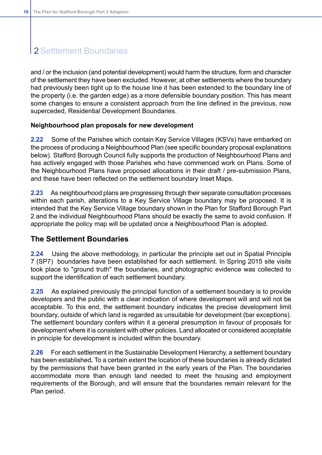and / or the inclusion (and potential development) would harm the structure, form and character of the settlement they have been excluded. However, at other settlements where the boundary had previously been tight up to the house line it has been extended to the boundary line of the property (i.e. the garden edge) as a more defensible boundary position. This has meant some changes to ensure a consistent approach from the line defined in the previous, now superceded, Residential Development Boundaries.

#### **Neighbourhood plan proposals for new development**

**2.22** Some of the Parishes which contain Key Service Villages (KSVs) have embarked on the process of producing a Neighbourhood Plan (see specific boundary proposal explanations below). Stafford Borough Council fully supports the production of Neighbourhood Plans and has actively engaged with those Parishes who have commenced work on Plans. Some of the Neighbourhood Plans have proposed allocations in their draft / pre-submission Plans, and these have been reflected on the settlement boundary Inset Maps.

**2.23** As neighbourhood plans are progressing through their separate consultation processes within each parish, alterations to a Key Service Village boundary may be proposed. It is intended that the Key Service Village boundary shown in the Plan for Stafford Borough Part 2 and the individual Neighbourhood Plans should be exactly the same to avoid confusion. If appropriate the policy map will be updated once a Neighbourhood Plan is adopted.

### **The Settlement Boundaries**

**2.24** Using the above methodology, in particular the principle set out in Spatial Principle 7 (SP7) boundaries have been established for each settlement. In Spring 2015 site visits took place to "ground truth" the boundaries, and photographic evidence was collected to support the identification of each settlement boundary.

**2.25** As explained previously the principal function of a settlement boundary is to provide developers and the public with a clear indication of where development will and will not be acceptable. To this end, the settlement boundary indicates the precise development limit boundary, outside of which land is regarded as unsuitable for development (bar exceptions). The settlement boundary confers within it a general presumption in favour of proposals for development where it is consistent with other policies. Land allocated or considered acceptable in principle for development is included within the boundary.

**2.26** For each settlement in the Sustainable Development Hierarchy, a settlement boundary has been established**.** To a certain extent the location of these boundaries is already dictated by the permissions that have been granted in the early years of the Plan. The boundaries accommodate more than enough land needed to meet the housing and employment requirements of the Borough, and will ensure that the boundaries remain relevant for the Plan period.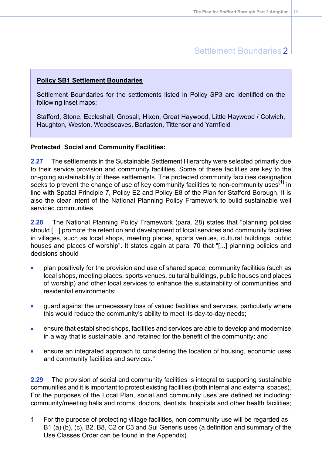### **Policy SB1 Settlement Boundaries**

Settlement Boundaries for the settlements listed in Policy SP3 are identified on the following inset maps:

Stafford, Stone, Eccleshall, Gnosall, Hixon, Great Haywood, Little Haywood / Colwich, Haughton, Weston, Woodseaves, Barlaston, Tittensor and Yarnfield

#### **Protected Social and Community Facilities:**

**2.27** The settlements in the Sustainable Settlement Hierarchy were selected primarily due to their service provision and community facilities. Some of these facilities are key to the on-going sustainability of these settlements. The protected community facilities designation seeks to prevent the change of use of key community facilities to non-community uses**(1)** in line with Spatial Principle 7, Policy E2 and Policy E8 of the Plan for Stafford Borough. It is also the clear intent of the National Planning Policy Framework to build sustainable well serviced communities.

**2.28** The National Planning Policy Framework (para. 28) states that "planning policies should [...] promote the retention and development of local services and community facilities in villages, such as local shops, meeting places, sports venues, cultural buildings, public houses and places of worship". It states again at para. 70 that "[...] planning policies and decisions should

- plan positively for the provision and use of shared space, community facilities (such as local shops, meeting places, sports venues, cultural buildings, public houses and places of worship) and other local services to enhance the sustainability of communities and residential environments;
- guard against the unnecessary loss of valued facilities and services, particularly where  $\bullet$ this would reduce the community's ability to meet its day-to-day needs;
- ensure that established shops, facilities and services are able to develop and modernise  $\bullet$ in a way that is sustainable, and retained for the benefit of the community; and
- ensure an integrated approach to considering the location of housing, economic uses  $\bullet$ and community facilities and services."

**2.29** The provision of social and community facilities is integral to supporting sustainable communities and it is important to protect existing facilities (both internal and external spaces). For the purposes of the Local Plan, social and community uses are defined as including: community/meeting halls and rooms, doctors, dentists, hospitals and other health facilities;

<sup>1</sup> For the purpose of protecting village facilities, non community use will be regarded as B1 (a) (b), (c), B2, B8, C2 or C3 and Sui Generis uses (a definition and summary of the Use Classes Order can be found in the Appendix)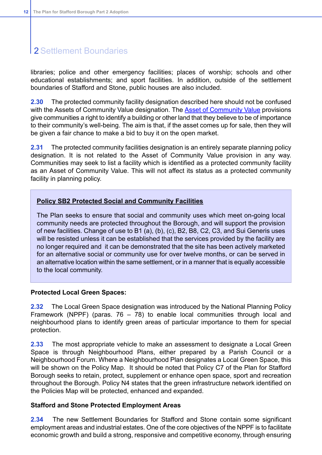libraries; police and other emergency facilities; places of worship; schools and other educational establishments; and sport facilities. In addition, outside of the settlement boundaries of Stafford and Stone, public houses are also included.

**2.30** The protected community facility designation described here should not be confused with the Assets of [Community](http://www.staffordbc.gov.uk/assetscommunityvalue) Value designation. The Asset of Community Value provisions give communities a right to identify a building or other land that they believe to be of importance to their community's well-being. The aim is that, if the asset comes up for sale, then they will be given a fair chance to make a bid to buy it on the open market.

**2.31** The protected community facilities designation is an entirely separate planning policy designation. It is not related to the Asset of Community Value provision in any way. Communities may seek to list a facility which is identified as a protected community facility as an Asset of Community Value. This will not affect its status as a protected community facility in planning policy.

### **Policy SB2 Protected Social and Community Facilities**

The Plan seeks to ensure that social and community uses which meet on-going local community needs are protected throughout the Borough, and will support the provision of new facilities. Change of use to B1 (a), (b), (c), B2, B8, C2, C3, and Sui Generis uses will be resisted unless it can be established that the services provided by the facility are no longer required and it can be demonstrated that the site has been actively marketed for an alternative social or community use for over twelve months, or can be served in an alternative location within the same settlement, or in a manner that is equally accessible to the local community.

#### **Protected Local Green Spaces:**

**2.32** The Local Green Space designation was introduced by the National Planning Policy Framework (NPPF) (paras. 76 – 78) to enable local communities through local and neighbourhood plans to identify green areas of particular importance to them for special protection.

**2.33** The most appropriate vehicle to make an assessment to designate a Local Green Space is through Neighbourhood Plans, either prepared by a Parish Council or a Neighbourhood Forum. Where a Neighbourhood Plan designates a Local Green Space, this will be shown on the Policy Map. It should be noted that Policy C7 of the Plan for Stafford Borough seeks to retain, protect, supplement or enhance open space, sport and recreation throughout the Borough. Policy N4 states that the green infrastructure network identified on the Policies Map will be protected, enhanced and expanded.

#### **Stafford and Stone Protected Employment Areas**

**2.34** The new Settlement Boundaries for Stafford and Stone contain some significant employment areas and industrial estates. One of the core objectives of the NPPF is to facilitate economic growth and build a strong, responsive and competitive economy, through ensuring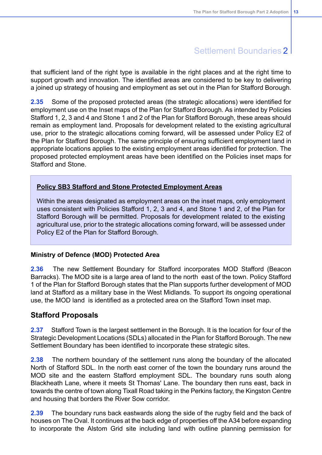that sufficient land of the right type is available in the right places and at the right time to support growth and innovation. The identified areas are considered to be key to delivering a joined up strategy of housing and employment as set out in the Plan for Stafford Borough.

**2.35** Some of the proposed protected areas (the strategic allocations) were identified for employment use on the Inset maps of the Plan for Stafford Borough. As intended by Policies Stafford 1, 2, 3 and 4 and Stone 1 and 2 of the Plan for Stafford Borough, these areas should remain as employment land. Proposals for development related to the existing agricultural use, prior to the strategic allocations coming forward, will be assessed under Policy E2 of the Plan for Stafford Borough. The same principle of ensuring sufficient employment land in appropriate locations applies to the existing employment areas identified for protection. The proposed protected employment areas have been identified on the Policies inset maps for Stafford and Stone.

### **Policy SB3 Stafford and Stone Protected Employment Areas**

Within the areas designated as employment areas on the inset maps, only employment uses consistent with Policies Stafford 1, 2, 3 and 4, and Stone 1 and 2, of the Plan for Stafford Borough will be permitted. Proposals for development related to the existing agricultural use, prior to the strategic allocations coming forward, will be assessed under Policy E2 of the Plan for Stafford Borough.

#### **Ministry of Defence (MOD) Protected Area**

**2.36** The new Settlement Boundary for Stafford incorporates MOD Stafford (Beacon Barracks). The MOD site is a large area of land to the north east of the town. Policy Stafford 1 of the Plan for Stafford Borough states that the Plan supports further development of MOD land at Stafford as a military base in the West Midlands. To support its ongoing operational use, the MOD land is identified as a protected area on the Stafford Town inset map.

### **Stafford Proposals**

**2.37** Stafford Town is the largest settlement in the Borough. It is the location for four of the Strategic Development Locations (SDLs) allocated in the Plan for Stafford Borough. The new Settlement Boundary has been identified to incorporate these strategic sites.

**2.38** The northern boundary of the settlement runs along the boundary of the allocated North of Stafford SDL. In the north east corner of the town the boundary runs around the MOD site and the eastern Stafford employment SDL. The boundary runs south along Blackheath Lane, where it meets St Thomas' Lane. The boundary then runs east, back in towards the centre of town along Tixall Road taking in the Perkins factory, the Kingston Centre and housing that borders the River Sow corridor.

**2.39** The boundary runs back eastwards along the side of the rugby field and the back of houses on The Oval. It continues at the back edge of properties off the A34 before expanding to incorporate the Alstom Grid site including land with outline planning permission for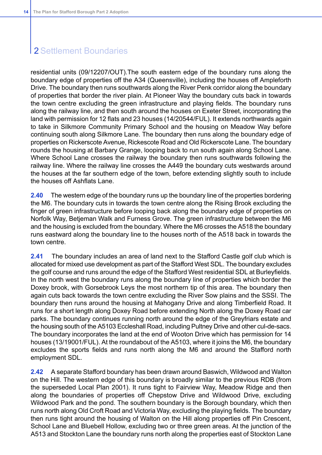residential units (09/12207/OUT).The south eastern edge of the boundary runs along the boundary edge of properties off the A34 (Queensville), including the houses off Ampleforth Drive. The boundary then runs southwards along the River Penk corridor along the boundary of properties that border the river plain. At Pioneer Way the boundary cuts back in towards the town centre excluding the green infrastructure and playing fields. The boundary runs along the railway line, and then south around the houses on Exeter Street, incorporating the land with permission for 12 flats and 23 houses (14/20544/FUL). It extends northwards again to take in Silkmore Community Primary School and the housing on Meadow Way before continuing south along Silkmore Lane. The boundary then runs along the boundary edge of properties on Rickerscote Avenue, Rickescote Road and Old Rickerscote Lane. The boundary rounds the housing at Barbary Grange, looping back to run south again along School Lane. Where School Lane crosses the railway the boundary then runs southwards following the railway line. Where the railway line crosses the A449 the boundary cuts westwards around the houses at the far southern edge of the town, before extending slightly south to include the houses off Ashflats Lane.

**2.40** The western edge of the boundary runs up the boundary line of the properties bordering the M6. The boundary cuts in towards the town centre along the Rising Brook excluding the finger of green infrastructure before looping back along the boundary edge of properties on Norfolk Way, Betjeman Walk and Furness Grove. The green infrastructure between the M6 and the housing is excluded from the boundary. Where the M6 crosses the A518 the boundary runs eastward along the boundary line to the houses north of the A518 back in towards the town centre.

**2.41** The boundary includes an area of land next to the Stafford Castle golf club which is allocated for mixed use development as part of the Stafford West SDL. The boundary excludes the golf course and runs around the edge of the Stafford West residential SDL at Burleyfields. In the north west the boundary runs along the boundary line of properties which border the Doxey brook, with Gorsebrook Leys the most northern tip of this area. The boundary then again cuts back towards the town centre excluding the River Sow plains and the SSSI. The boundary then runs around the housing at Mahogany Drive and along Timberfield Road. It runs for a short length along Doxey Road before extending North along the Doxey Road car parks. The boundary continues running north around the edge of the Greyfriars estate and the housing south of the A5103 Eccleshall Road, including Pultney Drive and other cul-de-sacs. The boundary incorporates the land at the end of Wooton Drive which has permission for 14 houses (13/19001/FUL). At the roundabout of the A5103, where it joins the M6, the boundary excludes the sports fields and runs north along the M6 and around the Stafford north employment SDL.

**2.42** A separate Stafford boundary has been drawn around Baswich, Wildwood and Walton on the Hill. The western edge of this boundary is broadly similar to the previous RDB (from the superseded Local Plan 2001). It runs tight to Fairview Way, Meadow Ridge and then along the boundaries of properties off Chepstow Drive and Wildwood Drive, excluding Wildwood Park and the pond. The southern boundary is the Borough boundary, which then runs north along Old Croft Road and Victoria Way, excluding the playing fields. The boundary then runs tight around the housing of Walton on the Hill along properties off Pin Crescent, School Lane and Bluebell Hollow, excluding two or three green areas. At the junction of the A513 and Stockton Lane the boundary runs north along the properties east of Stockton Lane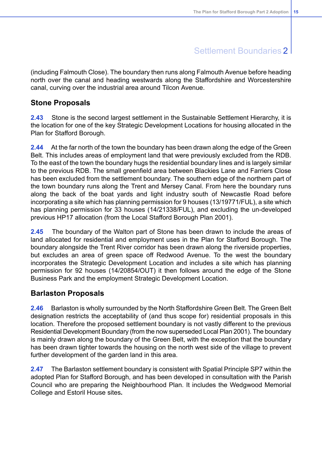(including Falmouth Close). The boundary then runs along Falmouth Avenue before heading north over the canal and heading westwards along the Staffordshire and Worcestershire canal, curving over the industrial area around Tilcon Avenue.

### **Stone Proposals**

**2.43** Stone is the second largest settlement in the Sustainable Settlement Hierarchy, it is the location for one of the key Strategic Development Locations for housing allocated in the Plan for Stafford Borough.

**2.44** At the far north of the town the boundary has been drawn along the edge of the Green Belt. This includes areas of employment land that were previously excluded from the RDB. To the east of the town the boundary hugs the residential boundary lines and is largely similar to the previous RDB. The small greenfield area between Blackies Lane and Farriers Close has been excluded from the settlement boundary. The southern edge of the northern part of the town boundary runs along the Trent and Mersey Canal. From here the boundary runs along the back of the boat yards and light industry south of Newcastle Road before incorporating a site which has planning permission for 9 houses (13/19771/FUL), a site which has planning permission for 33 houses (14/21338/FUL), and excluding the un-developed previous HP17 allocation (from the Local Stafford Borough Plan 2001).

**2.45** The boundary of the Walton part of Stone has been drawn to include the areas of land allocated for residential and employment uses in the Plan for Stafford Borough. The boundary alongside the Trent River corridor has been drawn along the riverside properties, but excludes an area of green space off Redwood Avenue. To the west the boundary incorporates the Strategic Development Location and includes a site which has planning permission for 92 houses (14/20854/OUT) it then follows around the edge of the Stone Business Park and the employment Strategic Development Location.

### **Barlaston Proposals**

**2.46** Barlaston is wholly surrounded by the North Staffordshire Green Belt. The Green Belt designation restricts the acceptability of (and thus scope for) residential proposals in this location. Therefore the proposed settlement boundary is not vastly different to the previous Residential Development Boundary (from the now superseded Local Plan 2001). The boundary is mainly drawn along the boundary of the Green Belt, with the exception that the boundary has been drawn tighter towards the housing on the north west side of the village to prevent further development of the garden land in this area.

**2.47** The Barlaston settlement boundary is consistent with Spatial Principle SP7 within the adopted Plan for Stafford Borough, and has been developed in consultation with the Parish Council who are preparing the Neighbourhood Plan. It includes the Wedgwood Memorial College and Estoril House sites**.**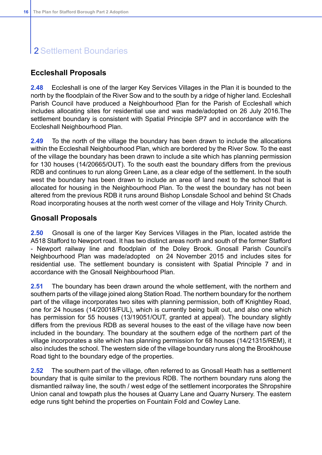### **Eccleshall Proposals**

**2.48** Eccleshall is one of the larger Key Services Villages in the Plan it is bounded to the north by the floodplain of the River Sow and to the south by a ridge of higher land. Eccleshall Parish Council have produced a Neighbourhood Plan for the Parish of Eccleshall which includes allocating sites for residential use and was made/adopted on 26 July 2016.The settlement boundary is consistent with Spatial Principle SP7 and in accordance with the Eccleshall Neighbourhood Plan.

**2.49** To the north of the village the boundary has been drawn to include the allocations within the Eccleshall Neighbourhood Plan, which are bordered by the River Sow. To the east of the village the boundary has been drawn to include a site which has planning permission for 130 houses (14/20665/OUT). To the south east the boundary differs from the previous RDB and continues to run along Green Lane, as a clear edge of the settlement. In the south west the boundary has been drawn to include an area of land next to the school that is allocated for housing in the Neighbourhood Plan. To the west the boundary has not been altered from the previous RDB it runs around Bishop Lonsdale School and behind St Chads Road incorporating houses at the north west corner of the village and Holy Trinity Church.

### **Gnosall Proposals**

**2.50** Gnosall is one of the larger Key Services Villages in the Plan, located astride the A518 Stafford to Newport road. It has two distinct areas north and south of the former Stafford - Newport railway line and floodplain of the Doley Brook. Gnosall Parish Council's Neighbourhood Plan was made/adopted on 24 November 2015 and includes sites for residential use. The settlement boundary is consistent with Spatial Principle 7 and in accordance with the Gnosall Neighbourhood Plan.

**2.51** The boundary has been drawn around the whole settlement, with the northern and southern parts of the village joined along Station Road. The northern boundary for the northern part of the village incorporates two sites with planning permission, both off Knightley Road, one for 24 houses (14/20018/FUL), which is currently being built out, and also one which has permission for 55 houses (13/19051/OUT, granted at appeal). The boundary slightly differs from the previous RDB as several houses to the east of the village have now been included in the boundary. The boundary at the southern edge of the northern part of the village incorporates a site which has planning permission for 68 houses (14/21315/REM), it also includes the school. The western side of the village boundary runs along the Brookhouse Road tight to the boundary edge of the properties.

**2.52** The southern part of the village, often referred to as Gnosall Heath has a settlement boundary that is quite similar to the previous RDB. The northern boundary runs along the dismantled railway line, the south / west edge of the settlement incorporates the Shropshire Union canal and towpath plus the houses at Quarry Lane and Quarry Nursery. The eastern edge runs tight behind the properties on Fountain Fold and Cowley Lane.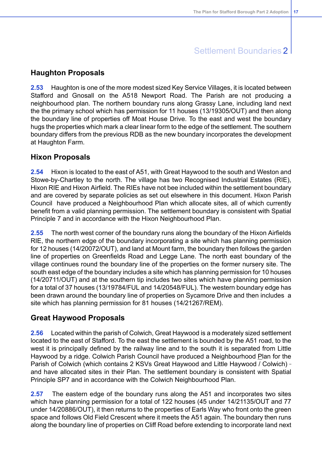### **Haughton Proposals**

**2.53** Haughton is one of the more modest sized Key Service Villages, it is located between Stafford and Gnosall on the A518 Newport Road. The Parish are not producing a neighbourhood plan. The northern boundary runs along Grassy Lane, including land next the the primary school which has permission for 11 houses (13/19305/OUT) and then along the boundary line of properties off Moat House Drive. To the east and west the boundary hugs the properties which mark a clear linear form to the edge of the settlement. The southern boundary differs from the previous RDB as the new boundary incorporates the development at Haughton Farm.

### **Hixon Proposals**

**2.54** Hixon is located to the east of A51, with Great Haywood to the south and Weston and Stowe-by-Chartley to the north. The village has two Recognised Industrial Estates (RIE), Hixon RIE and Hixon Airfield. The RIEs have not bee included within the settlement boundary and are covered by separate policies as set out elsewhere in this document. Hixon Parish Council have produced a Neighbourhood Plan which allocate sites, all of which currently benefit from a valid planning permission. The settlement boundary is consistent with Spatial Principle 7 and in accordance with the Hixon Neighbourhood Plan.

**2.55** The north west corner of the boundary runs along the boundary of the Hixon Airfields RIE, the northern edge of the boundary incorporating a site which has planning permission for 12 houses (14/20072/OUT), and land at Mount farm, the boundary then follows the garden line of properties on Greenfields Road and Legge Lane. The north east boundary of the village continues round the boundary line of the properties on the former nursery site. The south east edge of the boundary includes a site which has planning permission for 10 houses (14/20711/OUT) and at the southern tip includes two sites which have planning permission for a total of 37 houses (13/19784/FUL and 14/20548/FUL). The western boundary edge has been drawn around the boundary line of properties on Sycamore Drive and then includes a site which has planning permission for 81 houses (14/21267/REM).

### **Great Haywood Proposals**

**2.56** Located within the parish of Colwich, Great Haywood is a moderately sized settlement located to the east of Stafford. To the east the settlement is bounded by the A51 road, to the west it is principally defined by the railway line and to the south it is separated from Little Haywood by a ridge. Colwich Parish Council have produced a Neighbourhood Plan for the Parish of Colwich (which contains 2 KSVs Great Haywood and Little Haywood / Colwich) and have allocated sites in their Plan. The settlement boundary is consistent with Spatial Principle SP7 and in accordance with the Colwich Neighbourhood Plan.

**2.57** The eastern edge of the boundary runs along the A51 and incorporates two sites which have planning permission for a total of 122 houses (45 under 14/21135/OUT and 77 under 14/20886/OUT), it then returns to the properties of Earls Way who front onto the green space and follows Old Field Crescent where it meets the A51 again. The boundary then runs along the boundary line of properties on Cliff Road before extending to incorporate land next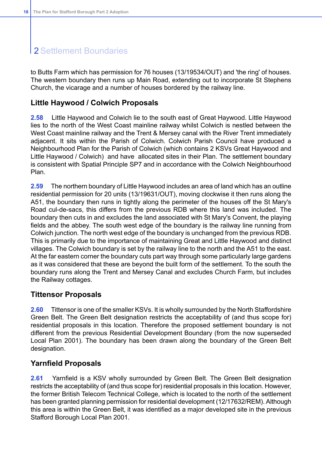to Butts Farm which has permission for 76 houses (13/19534/OUT) and 'the ring' of houses. The western boundary then runs up Main Road, extending out to incorporate St Stephens Church, the vicarage and a number of houses bordered by the railway line.

### **Little Haywood / Colwich Proposals**

**2.58** Little Haywood and Colwich lie to the south east of Great Haywood. Little Haywood lies to the north of the West Coast mainline railway whilst Colwich is nestled between the West Coast mainline railway and the Trent & Mersey canal with the River Trent immediately adjacent. It sits within the Parish of Colwich. Colwich Parish Council have produced a Neighbourhood Plan for the Parish of Colwich (which contains 2 KSVs Great Haywood and Little Haywood / Colwich) and have allocated sites in their Plan. The settlement boundary is consistent with Spatial Principle SP7 and in accordance with the Colwich Neighbourhood Plan.

**2.59** The northern boundary of Little Haywood includes an area of land which has an outline residential permission for 20 units (13/19631/OUT), moving clockwise it then runs along the A51, the boundary then runs in tightly along the perimeter of the houses off the St Mary's Road cul-de-sacs, this differs from the previous RDB where this land was included. The boundary then cuts in and excludes the land associated with St Mary's Convent, the playing fields and the abbey. The south west edge of the boundary is the railway line running from Colwich junction. The north west edge of the boundary is unchanged from the previous RDB. This is primarily due to the importance of maintaining Great and Little Haywood and distinct villages. The Colwich boundary is set by the railway line to the north and the A51 to the east. At the far eastern corner the boundary cuts part way through some particularly large gardens as it was considered that these are beyond the built form of the settlement. To the south the boundary runs along the Trent and Mersey Canal and excludes Church Farm, but includes the Railway cottages.

### **Tittensor Proposals**

**2.60** Tittensor is one of the smaller KSVs. It is wholly surrounded by the North Staffordshire Green Belt. The Green Belt designation restricts the acceptability of (and thus scope for) residential proposals in this location. Therefore the proposed settlement boundary is not different from the previous Residential Development Boundary (from the now superseded Local Plan 2001). The boundary has been drawn along the boundary of the Green Belt designation.

### **Yarnfield Proposals**

**2.61** Yarnfield is a KSV wholly surrounded by Green Belt. The Green Belt designation restricts the acceptability of (and thus scope for) residential proposals in this location. However, the former British Telecom Technical College, which is located to the north of the settlement has been granted planning permission for residential development (12/17632/REM). Although this area is within the Green Belt, it was identified as a major developed site in the previous Stafford Borough Local Plan 2001.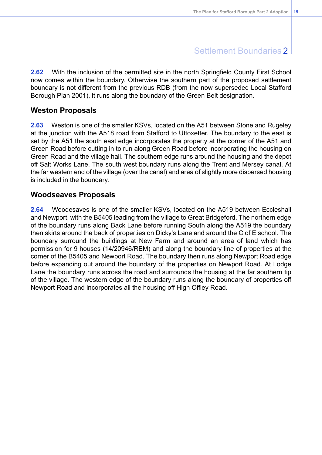**2.62** With the inclusion of the permitted site in the north Springfield County First School now comes within the boundary. Otherwise the southern part of the proposed settlement boundary is not different from the previous RDB (from the now superseded Local Stafford Borough Plan 2001), it runs along the boundary of the Green Belt designation.

### **Weston Proposals**

**2.63** Weston is one of the smaller KSVs, located on the A51 between Stone and Rugeley at the junction with the A518 road from Stafford to Uttoxetter. The boundary to the east is set by the A51 the south east edge incorporates the property at the corner of the A51 and Green Road before cutting in to run along Green Road before incorporating the housing on Green Road and the village hall. The southern edge runs around the housing and the depot off Salt Works Lane. The south west boundary runs along the Trent and Mersey canal. At the far western end of the village (over the canal) and area of slightly more dispersed housing is included in the boundary.

### **Woodseaves Proposals**

**2.64** Woodesaves is one of the smaller KSVs, located on the A519 between Eccleshall and Newport, with the B5405 leading from the village to Great Bridgeford. The northern edge of the boundary runs along Back Lane before running South along the A519 the boundary then skirts around the back of properties on Dicky's Lane and around the C of E school. The boundary surround the buildings at New Farm and around an area of land which has permission for 9 houses (14/20946/REM) and along the boundary line of properties at the corner of the B5405 and Newport Road. The boundary then runs along Newport Road edge before expanding out around the boundary of the properties on Newport Road. At Lodge Lane the boundary runs across the road and surrounds the housing at the far southern tip of the village. The western edge of the boundary runs along the boundary of properties off Newport Road and incorporates all the housing off High Offley Road.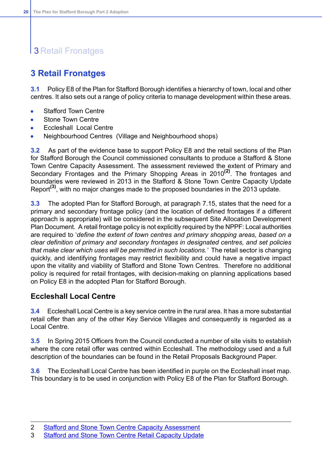# **3 Retail Fronatges**

### <span id="page-20-0"></span>**3 Retail Fronatges**

**3.1** Policy E8 of the Plan for Stafford Borough identifies a hierarchy of town, local and other centres. It also sets out a range of policy criteria to manage development within these areas.

- Stafford Town Centre  $\bullet$
- Stone Town Centre  $\bullet$
- Eccleshall Local Centre
- Neighbourhood Centres (Village and Neighbourhood shops)

**3.2** As part of the evidence base to support Policy E8 and the retail sections of the Plan for Stafford Borough the Council commissioned consultants to produce a Stafford & Stone Town Centre Capacity Assessment. The assessment reviewed the extent of Primary and Secondary Frontages and the Primary Shopping Areas in 2010**(2)**. The frontages and boundaries were reviewed in 2013 in the Stafford & Stone Town Centre Capacity Update Report**(3)**, with no major changes made to the proposed boundaries in the 2013 update.

**3.3** The adopted Plan for Stafford Borough, at paragraph 7.15, states that the need for a primary and secondary frontage policy (and the location of defined frontages if a different approach is appropriate) will be considered in the subsequent Site Allocation Development Plan Document. A retail frontage policy is not explicitly required by the NPPF: Local authorities are required to '*define the extent of town centres and primary shopping areas, based on a clear definition of primary and secondary frontages in designated centres, and set policies that make clear which uses will be permitted in such locations.'* The retail sector is changing quickly, and identifying frontages may restrict flexibility and could have a negative impact upon the vitality and viability of Stafford and Stone Town Centres. Therefore no additional policy is required for retail frontages, with decision-making on planning applications based on Policy E8 in the adopted Plan for Stafford Borough.

### **Eccleshall Local Centre**

**3.4** Eccleshall Local Centre is a key service centre in the rural area. It has a more substantial retail offer than any of the other Key Service Villages and consequently is regarded as a Local Centre.

**3.5** In Spring 2015 Officers from the Council conducted a number of site visits to establish where the core retail offer was centred within Eccleshall. The methodology used and a full description of the boundaries can be found in the Retail Proposals Background Paper.

**3.6** The Eccleshall Local Centre has been identified in purple on the Eccleshall inset map. This boundary is to be used in conjunction with Policy E8 of the Plan for Stafford Borough.

<sup>2</sup> Stafford and Stone Town Centre Capacity [Assessment](http://www.staffordbc.gov.uk/live/Documents/Forward%20Planning/Examination%20Library%202013/D16--STAFFORD-AND-STONE-TOWN-CENTRE-CAPACITY-ASSESSMENT-FINAL-REPORT-2011.pdf)

<sup>3</sup> Stafford and Stone Town Centre Retail [Capacity](http://www.staffordbc.gov.uk/live/Documents/Forward%20Planning/Examination%20Library%202013/D15--STAFFORD-AND-STONE-TOWN-CENTRE-RETAIL-CAPACITY-UPDATE-FINAL-REPORT-2013.pdf) Update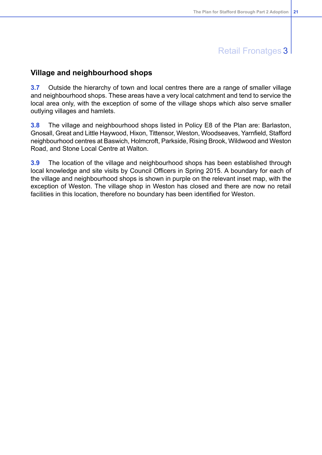### Retail Fronatges 3

### **Village and neighbourhood shops**

**3.7** Outside the hierarchy of town and local centres there are a range of smaller village and neighbourhood shops. These areas have a very local catchment and tend to service the local area only, with the exception of some of the village shops which also serve smaller outlying villages and hamlets.

**3.8** The village and neighbourhood shops listed in Policy E8 of the Plan are: Barlaston, Gnosall, Great and Little Haywood, Hixon, Tittensor, Weston, Woodseaves, Yarnfield, Stafford neighbourhood centres at Baswich, Holmcroft, Parkside, Rising Brook, Wildwood and Weston Road, and Stone Local Centre at Walton.

**3.9** The location of the village and neighbourhood shops has been established through local knowledge and site visits by Council Officers in Spring 2015. A boundary for each of the village and neighbourhood shops is shown in purple on the relevant inset map, with the exception of Weston. The village shop in Weston has closed and there are now no retail facilities in this location, therefore no boundary has been identified for Weston.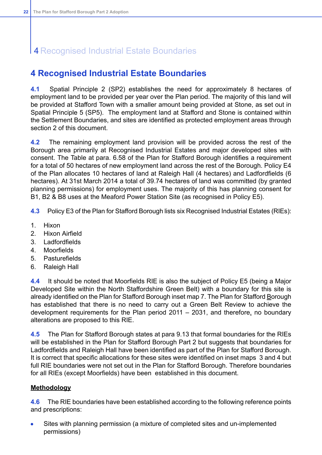### 4 Recognised Industrial Estate Boundaries

### <span id="page-22-0"></span>**4 Recognised Industrial Estate Boundaries**

**4.1** Spatial Principle 2 (SP2) establishes the need for approximately 8 hectares of employment land to be provided per year over the Plan period. The majority of this land will be provided at Stafford Town with a smaller amount being provided at Stone, as set out in Spatial Principle 5 (SP5). The employment land at Stafford and Stone is contained within the Settlement Boundaries, and sites are identified as protected employment areas through section 2 of this document.

**4.2** The remaining employment land provision will be provided across the rest of the Borough area primarily at Recognised Industrial Estates and major developed sites with consent. The Table at para. 6.58 of the Plan for Stafford Borough identifies a requirement for a total of 50 hectares of new employment land across the rest of the Borough. Policy E4 of the Plan allocates 10 hectares of land at Raleigh Hall (4 hectares) and Ladfordfields (6 hectares). At 31st March 2014 a total of 39.74 hectares of land was committed (by granted planning permissions) for employment uses. The majority of this has planning consent for B1, B2 & B8 uses at the Meaford Power Station Site (as recognised in Policy E5).

**4.3** Policy E3 of the Plan for Stafford Borough lists six Recognised Industrial Estates (RIEs):

- 1. Hixon
- 2. Hixon Airfield
- 3. Ladfordfields
- 4. Moorfields
- 5. Pasturefields
- 6. Raleigh Hall

**4.4** It should be noted that Moorfields RIE is also the subject of Policy E5 (being a Major Developed Site within the North Staffordshire Green Belt) with a boundary for this site is already identified on the Plan for Stafford Borough inset map 7. The Plan for Stafford Borough has established that there is no need to carry out a Green Belt Review to achieve the development requirements for the Plan period 2011 – 2031, and therefore, no boundary alterations are proposed to this RIE.

**4.5** The Plan for Stafford Borough states at para 9.13 that formal boundaries for the RIEs will be established in the Plan for Stafford Borough Part 2 but suggests that boundaries for Ladfordfields and Raleigh Hall have been identified as part of the Plan for Stafford Borough. It is correct that specific allocations for these sites were identified on inset maps 3 and 4 but full RIE boundaries were not set out in the Plan for Stafford Borough. Therefore boundaries for all RIEs (except Moorfields) have been established in this document.

### **Methodology**

**4.6** The RIE boundaries have been established according to the following reference points and prescriptions:

Sites with planning permission (a mixture of completed sites and un-implemented  $\bullet$ permissions)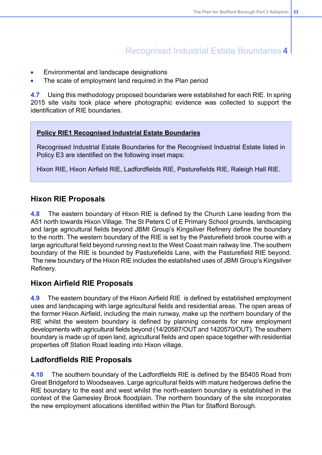### Recognised Industrial Estate Boundaries 4

- Environmental and landscape designations
- The scale of employment land required in the Plan period

**4.7** Using this methodology proposed boundaries were established for each RIE. In spring 2015 site visits took place where photographic evidence was collected to support the identification of RIE boundaries.

#### **Policy RIE1 Recognised Industrial Estate Boundaries**

Recognised Industrial Estate Boundaries for the Recognised Industrial Estate listed in Policy E3 are identified on the following inset maps:

Hixon RIE, Hixon Airfield RIE, Ladfordfields RIE, Pasturefields RIE, Raleigh Hall RIE.

### **Hixon RIE Proposals**

**4.8** The eastern boundary of Hixon RIE is defined by the Church Lane leading from the A51 north towards Hixon Village. The St Peters C of E Primary School grounds, landscaping and large agricultural fields beyond JBMI Group's Kingsilver Refinery define the boundary to the north. The western boundary of the RIE is set by the Pasturefield brook course with a large agricultural field beyond running next to the West Coast main railway line. The southern boundary of the RIE is bounded by Pasturefields Lane, with the Pasturefield RIE beyond. The new boundary of the Hixon RIE includes the established uses of JBMI Group's Kingsilver Refinery.

### **Hixon Airfield RIE Proposals**

**4.9** The eastern boundary of the Hixon Airfield RIE is defined by established employment uses and landscaping with large agricultural fields and residential areas. The open areas of the former Hixon Airfield, including the main runway, make up the northern boundary of the RIE whilst the western boundary is defined by planning consents for new employment developments with agricultural fields beyond (14/20587/OUT and 1420570/OUT). The southern boundary is made up of open land, agricultural fields and open space together with residential properties off Station Road leading into Hixon village.

### **Ladfordfields RIE Proposals**

**4.10** The southern boundary of the Ladfordfields RIE is defined by the B5405 Road from Great Bridgeford to Woodseaves. Large agricultural fields with mature hedgerows define the RIE boundary to the east and west whilst the north-eastern boundary is established in the context of the Gamesley Brook floodplain. The northern boundary of the site incorporates the new employment allocations identified within the Plan for Stafford Borough.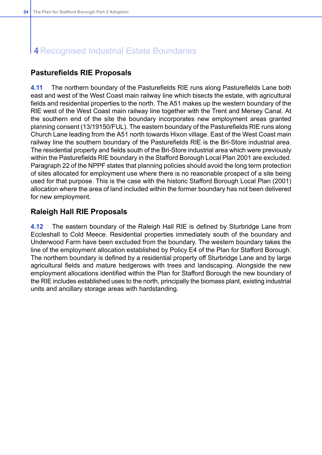# 4 Recognised Industrial Estate Boundaries

### **Pasturefields RIE Proposals**

**4.11** The northern boundary of the Pasturefields RIE runs along Pasturefields Lane both east and west of the West Coast main railway line which bisects the estate, with agricultural fields and residential properties to the north. The A51 makes up the western boundary of the RIE west of the West Coast main railway line together with the Trent and Mersey Canal. At the southern end of the site the boundary incorporates new employment areas granted planning consent (13/19150/FUL). The eastern boundary of the Pasturefields RIE runs along Church Lane leading from the A51 north towards Hixon village. East of the West Coast main railway line the southern boundary of the Pasturefields RIE is the Bri-Store industrial area. The residential property and fields south of the Bri-Store industrial area which were previously within the Pasturefields RIE boundary in the Stafford Borough Local Plan 2001 are excluded. Paragraph 22 of the NPPF states that planning policies should avoid the long term protection of sites allocated for employment use where there is no reasonable prospect of a site being used for that purpose. This is the case with the historic Stafford Borough Local Plan (2001) allocation where the area of land included within the former boundary has not been delivered for new employment.

### **Raleigh Hall RIE Proposals**

**4.12** The eastern boundary of the Raleigh Hall RIE is defined by Sturbridge Lane from Eccleshall to Cold Meece. Residential properties immediately south of the boundary and Underwood Farm have been excluded from the boundary. The western boundary takes the line of the employment allocation established by Policy E4 of the Plan for Stafford Borough. The northern boundary is defined by a residential property off Sturbridge Lane and by large agricultural fields and mature hedgerows with trees and landscaping. Alongside the new employment allocations identified within the Plan for Stafford Borough the new boundary of the RIE includes established uses to the north, principally the biomass plant, existing industrial units and ancillary storage areas with hardstanding.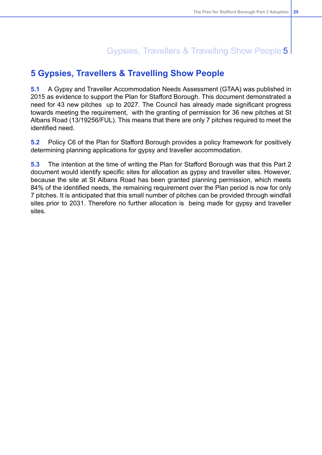# Gypsies, Travellers & Travelling Show People 5

### <span id="page-25-0"></span>**5 Gypsies, Travellers & Travelling Show People**

**5.1** A Gypsy and Traveller Accommodation Needs Assessment (GTAA) was published in 2015 as evidence to support the Plan for Stafford Borough. This document demonstrated a need for 43 new pitches up to 2027. The Council has already made significant progress towards meeting the requirement, with the granting of permission for 36 new pitches at St Albans Road (13/19256/FUL). This means that there are only 7 pitches required to meet the identified need.

**5.2** Policy C6 of the Plan for Stafford Borough provides a policy framework for positively determining planning applications for gypsy and traveller accommodation.

**5.3** The intention at the time of writing the Plan for Stafford Borough was that this Part 2 document would identify specific sites for allocation as gypsy and traveller sites. However, because the site at St Albans Road has been granted planning permission, which meets 84% of the identified needs, the remaining requirement over the Plan period is now for only 7 pitches. It is anticipated that this small number of pitches can be provided through windfall sites prior to 2031. Therefore no further allocation is being made for gypsy and traveller sites.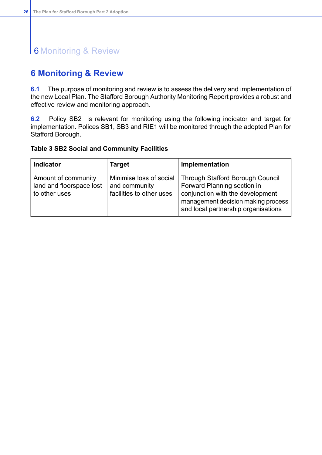# 6 Monitoring & Review

### <span id="page-26-0"></span>**6 Monitoring & Review**

**6.1** The purpose of monitoring and review is to assess the delivery and implementation of the new Local Plan. The Stafford Borough Authority Monitoring Report provides a robust and effective review and monitoring approach.

**6.2** Policy SB2 is relevant for monitoring using the following indicator and target for implementation. Polices SB1, SB3 and RIE1 will be monitored through the adopted Plan for Stafford Borough.

#### **Table 3 SB2 Social and Community Facilities**

| <b>Indicator</b>                                                 | <b>Target</b>                                                        | Implementation                                                                                                                                                                          |
|------------------------------------------------------------------|----------------------------------------------------------------------|-----------------------------------------------------------------------------------------------------------------------------------------------------------------------------------------|
| Amount of community<br>land and floorspace lost<br>to other uses | Minimise loss of social<br>and community<br>facilities to other uses | <b>Through Stafford Borough Council</b><br>Forward Planning section in<br>conjunction with the development<br>management decision making process<br>and local partnership organisations |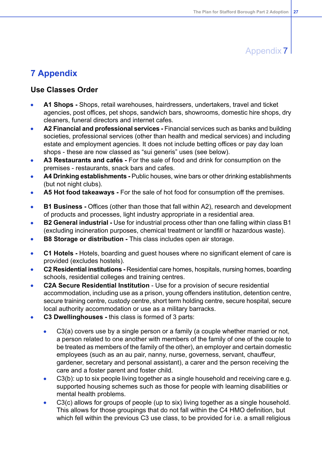### Appendix 7

### <span id="page-27-0"></span>**7 Appendix**

### **Use Classes Order**

- **A1 Shops -** Shops, retail warehouses, hairdressers, undertakers, travel and ticket agencies, post offices, pet shops, sandwich bars, showrooms, domestic hire shops, dry cleaners, funeral directors and internet cafes.
- **A2 Financial and professional services -** Financial services such as banks and building societies, professional services (other than health and medical services) and including estate and employment agencies. It does not include betting offices or pay day loan shops - these are now classed as "sui generis" uses (see below).
- **A3 Restaurants and cafés -** For the sale of food and drink for consumption on the  $\bullet$ premises - restaurants, snack bars and cafes.
- **A4 Drinking establishments -** Public houses, wine bars or other drinking establishments (but not night clubs).
- **A5 Hot food takeaways -** For the sale of hot food for consumption off the premises.  $\bullet$
- **B1 Business -** Offices (other than those that fall within A2), research and development  $\bullet$ of products and processes, light industry appropriate in a residential area.
- **B2 General industrial -** Use for industrial process other than one falling within class B1  $\bullet$ (excluding incineration purposes, chemical treatment or landfill or hazardous waste).
- **B8 Storage or distribution -** This class includes open air storage.  $\bullet$
- **C1 Hotels -** Hotels, boarding and guest houses where no significant element of care is  $\bullet$ provided (excludes hostels).
- **C2 Residential institutions -** Residential care homes, hospitals, nursing homes, boarding schools, residential colleges and training centres.
- **C2A Secure Residential Institution** Use for a provision of secure residential accommodation, including use as a prison, young offenders institution, detention centre, secure training centre, custody centre, short term holding centre, secure hospital, secure local authority accommodation or use as a military barracks.
- **C3 Dwellinghouses -** this class is formed of 3 parts:
	- C3(a) covers use by a single person or a family (a couple whether married or not,  $\bullet$ a person related to one another with members of the family of one of the couple to be treated as members of the family of the other), an employer and certain domestic employees (such as an au pair, nanny, nurse, governess, servant, chauffeur, gardener, secretary and personal assistant), a carer and the person receiving the care and a foster parent and foster child.
	- C3(b): up to six people living together as a single household and receiving care e.g.  $\bullet$ supported housing schemes such as those for people with learning disabilities or mental health problems.
	- C3(c) allows for groups of people (up to six) living together as a single household.  $\bullet$ This allows for those groupings that do not fall within the C4 HMO definition, but which fell within the previous C3 use class, to be provided for i.e. a small religious